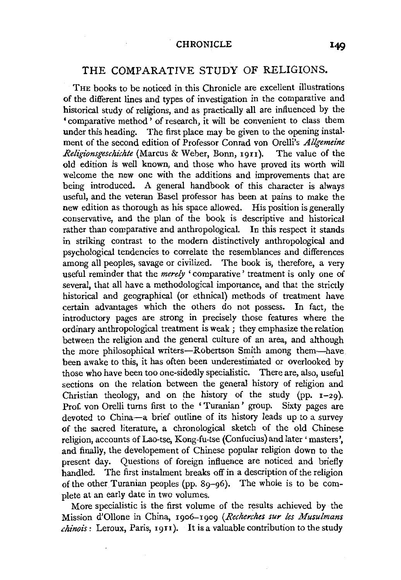## THE COMPARATIVE STUDY OF RELIGIONS.

THE books to be noticed in this Chronicle are excellent illustrations of the different lines and types of investigation in the comparative and historical study of religions, and as practically all are influenced by the 'comparative method' of research, it will be convenient to class them under this heading. The first place may be given to the opening instalment of the second edition of Professor Conrad von Orelli's *Allgemeine Religionsgeschichte* (Marcus & Weber, Bonn, 1911). The value of the old edition is well known, and those who have proved its worth will welcome the new one with the additions and improvements that are being introduced. A general handbook of this character is always useful, and the veteran Basel professor has been at pains to make the new edition as thorough as his space allowed. His position is generally conservative, and the plan of the book is descriptive and historical rather than comparative and anthropological. In this respect it stands in striking contrast to the modern distinctively anthropological and psychological tendencies to correlate the resemblances and differences among all peoples, savage or civilized. The book is, therefore, a very useful reminder that the *merely* ' comparative' treatment is only one of several, that all have a methodological importance, and that the strictly historical and geographical (or ethnical) methods of treatment have certain advantages which the others do not possess. In fact, the introductory pages are strong in precisely those features where the ordinary anthropological treatment is weak ; they emphasize the relation between the religion and the general culture of an area, and although the more philosophical writers-Robertson Smith among them-have been awake to this, it has often been underestimated or overlooked by those who have been too one-sidedly specialistic. There are, also, useful sections on the relation between the general history of religion and Christian theology, and on the history of the study (pp. 1-29). Prof. von Orelli turns first to the ' Turanian' group. Sixty pages are devoted to China-a brief outline of its history leads up to a survey of the sacred literature, a chronological sketch of the old Chinese religion, accounts of Lao-tse, Kong-fu-tse (Confucius) and later' masters', and finally, the developement of Chinese popular religion down to the present day. Questions of foreign influence are noticed and briefly handled. The first instalment breaks off in a description of the religion of the other Turanian peoples (pp. 89-96). The whole is to be complete at an early date in two volumes.

More specialistic is the first volume of the results achieved by the Mission d'Ollone in China, 1906-1909 (Recherches sur les Musulmans *chinois* : Leroux, Paris, 1911). It is a valuable contribution to the study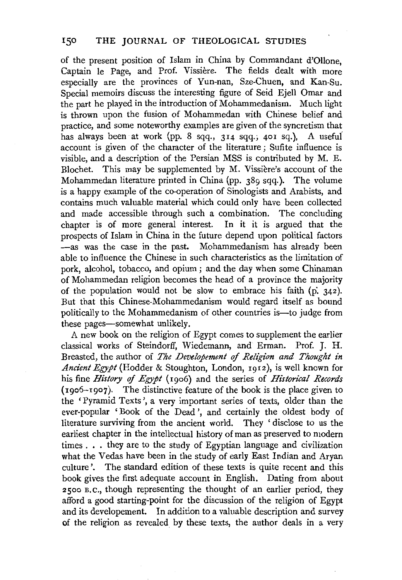of the present position of Islam in China by Commandant d'Ollone, Captain le Page, and Prof. Vissiere. The fields dealt with more especially are the provinces of Yun-nan, Sze-Chuen, and Kan-Su. Special memoirs discuss the interesting figure of Seid Ejell Omar and the part he played in the introduction of Mohammedanism. Much light is thrown upon the fusion of Mohammedan with Chinese belief and practice, and some noteworthy examples are given of the syncretism that has always been at work (pp. 8 sqq., 314 sqq.; 401 sq.), A usefui account is given of the character of the literature ; Sufite influence is visible, and a description of the Persian MSS is contributed by M. E. Blochet. This may be supplemented by M. Vissiere's account of the Mohammedan literature printed in China (pp. 389 sqq. ). The volume is a happy example of the co-operation of Sinologists and Arabists, and contains much valuable material which could only have been collected and made accessible through such a combination. The concluding chapter is of more general interest. In it it is argued that the prospects of Islam in China in the future depend upon political factors  $\frac{1}{2}$  was the case in the past. Mohammedanism has already been able to influence the Chinese in such characteristics as the limitation of pork, alcohol, tobacco, and opium ; and the day when some Chinaman of Mohammedan religion becomes the head of a province the majority of the population would not be slow to embrace his faith (p: 342). But that this Chinese-Mohammedanism would regard itself as bound politically to the Mohammedanism of other countries is—to judge from these pages-somewhat unlikely.

A new book on the religion of Egypt comes to supplement the earlier classical works of Steindorff, Wiedemann, and Erman. Prof. J. H. Breasted, the author of *The Developement of Religion and Thought in Ancient Egypt* (Hodder & Stoughton, London, 1912), is well known for his fine *History* of *Egypt* (r9o6) and the series of *Historical Records*  (r9o6-1907). The distinctive feature of the book is the place given to the 'Pyramid Texts', a very important series of texts, older than the ever-popular 'Book of the Dead', and certainly the oldest body of literature surviving from the ancient world. They ' disclose to us the earliest chapter in the intellectual history of man as preserved to modern times . • . they are to the study of Egyptian language and civilization what the Vedas have been in the study of early East Indian and Aryan culture'. The standard edition of these texts is quite recent and this book gives the first adequate account in English. Dating from about 2500 B.c., though representing the thought of an earlier period, they afford a good starting-point for the discussion of the religion of Egypt and its developement. In addition to a valuable description and survey of the religion as revealed by these texts, the author deals in a very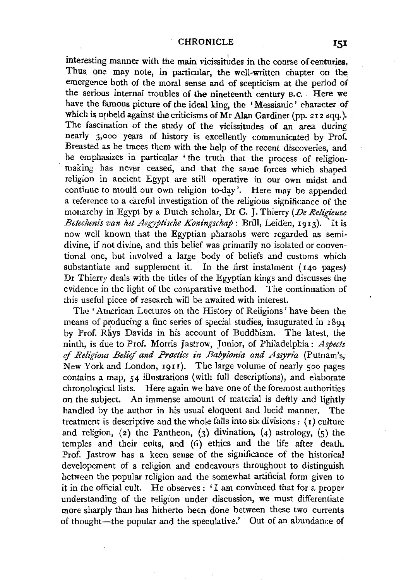interesting manner with the main vicissitudes in the course of centuries, Thus one may note, in particular, the well-written chapter on the emergence both of the moral sense and of scepticism at the period of the serious internal troubles of the nineteenth century B.c. Here we have the famous picture of the ideal king, the ' Messianic' character of which is upheld against the criticisms of Mr Alan Gardiner (pp. 212 sqq.). The fascination of the study of the vicissitudes of an area during nearly 3,000 years of history is excellently communicated by Prof. Breasted as he traces them with the help of the recent discoveries, and he emphasizes in particular 'the truth that the process of religionmaking has never ceased, and that the same forces which shaped religion in ancient Egypt are still operative in our own midst and continue to mould our own religion to-day'. Here may be appended a reference to a careful investigation of the religious significance of the monarchy in Egypt by a Dutch scholar, Dr G. J. Thierry *(De Religfeuze Beteekenis van het Aegyptische Koningschap:* Brill, Leiden, I9I3)· It is now well known that the Egyptian pharaohs were regarded as semidivine, if not divine, and this belief was primarily no isolated or conventional one, but involved a large body of beliefs and customs which substantiate and supplement it. In the first instalment  $(140 \text{ pages})$ Dr Thierry deals with the titles of the Egyptian kings and discusses the evidence in the light of the comparative method. The continuation of this useful piece of research will be awaited with interest.

The 'American Lectures on the History of Religions' have been the means of producing a fine series of special studies, inaugurated in  $1894$ by Prof. Rhys Davids in his account of Buddhism. The latest, the ninth, is dl)e to Prof. Morris Jastrow, Junior, of Philadelphia: *Aspects of Religious Belief and Practice in Babylonia and Assyria* (Putnam's, New York and London, 1911). The large volume of nearly 500 pages contains a map, 54 illustrations (with full descriptions), and elaborate chronological lists. Here again we have one of the foremost authorities on the subject. An immense amount of material is deftly and lightly handled by the author in his usual eloquent and lucid manner. The treatment is descriptive and the whole falls into six divisions:  $(1)$  culture and religion, (2) the Pantheon, (3) divination, (4) astrology,  $(5)$  the temples and their cults, and (6) ethics and the life after death. Prof. Jastrow has a keen sense of the significance of the historical developement of a religion and endeavours throughout to distinguish between the popular religion and the somewhat artificial form given to it in the official cult. He observes : 'I am convinced that for a proper understanding of the religion under discussion, we must differentiate more sharply than has hitherto been done between these two currents of thought-the popular and the speculative.' Out of an abundance of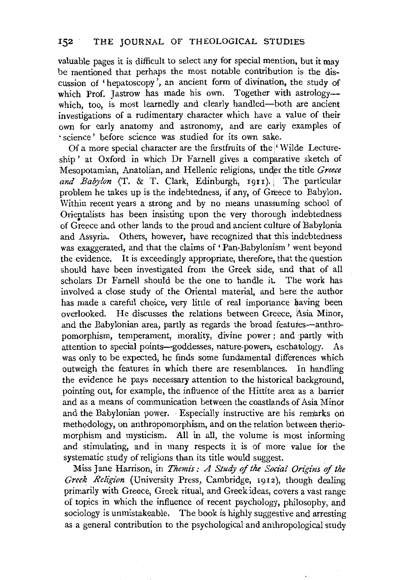valuable pages it is difficult to select any for special mention, but it may be mentioned that perhaps the most notable contribution is the discussion of 'hepatoscopy', an ancient form of divination, the study of which Prof. Jastrow has made his own. Together with astrologywhich, too, is most learnedly and clearly handled-both are ancient investigations of a rudimentary character which have a value of their own for early anatomy and astronomy, and are early examples of ' science' before science was studied for its own sake.

Of a more special character are the first fruits of the  $\cdot$  Wilde Lectureship ' at Oxford in which Dr Farnell gives a comparative sketch of Mesopotamian, Anatolian, and Hellenic religions, under the title *Greece* and Babylon (T. & T. Clark, Edinburgh, 1911). The particular problem he takes up is the indebtedness, if any, of Greece to Babylon. Within recent years a strong and by no means unassuming school of Orientalists has been insisting upon the very thorough indebtedness of Greece and other lands to the proud and ancient culture of Babylonia and Assyria. Others, however, have recognized that this indebtedness was exaggerated, and that the claims of' Pan-Babylonism' went beyond the evidence. It is exceedingly appropriate, therefore, that the question should have been investigated from the Greek side, and that of all scholars Dr Farnell should be the one to handle it. The work has involved a close study of. the Oriental material, and here, the author has made a careful choice, very little of real importance having been overlooked. He discusses the relations between Greece, Asia Minor, and the Babylonian area, partly as regards the broad features-anthropomorphism, temperament, morality, divine power; and partly with attention to special points-goddesses, nature-powers, eschatology. As was only to be expected, he finds some fundamental differences which outweigh the features in which there are resemblances. In handling the evidence he pays necessary attention to the historical background, pointing out, for example, the influence of the Hittite area as a barrier and as a means of communication between the coastlands of Asia Minor and the Babylonian power. · Especially instructive are his remarks on methodology, on anthropomorphism, and on the relation between theriomorphism and mysticism. All in all, the volume is most informing and stimulating, and in many respects it is of more value for the systematic study of religions than its title would suggest.

Miss Jane Harrison, in *Themis : A Study of the Social Origins of the* Greek Religion (University Press, Cambridge, 1912), though dealing primarily with Greece, Greek ritual, and Greek ideas, covers a vast range of topics in which the influence of recent psychology, philosophy, and sociology is unmistakeable. The book is highly suggestive and arresting as a general contribution to the psychological and anthropological study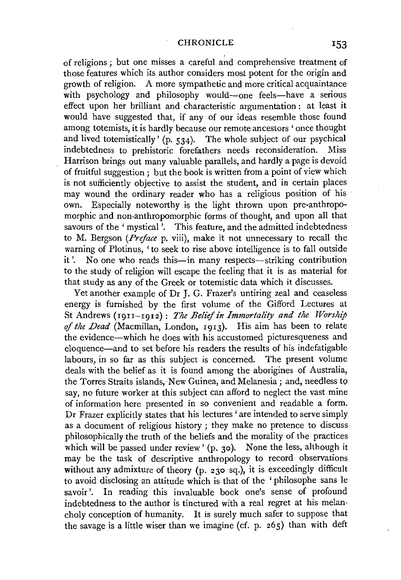of religions; but one misses a careful and comprehensive treatment of those features which its author considers most potent for the origin and growth of religion. A more sympathetic and more critical acquaintance with psychology and philosophy would-one feels-have a serious effect upon her brilliant and characteristic argumentation : at least it would have suggested that, if any of our ideas resemble those found among totemists, it is hardly because our remote ancestors 'once thought and lived totemistically' (p.  $534$ ). The whole subject of our psychical indebtedness to prehistoric forefathers needs reconsideration. Miss Harrison brings out many valuable parallels, and hardly a page is devoid of fruitful suggestion ; but the book is written from a point of view which is not sufficiently objective to assist the student, and in certain places may wound the ordinary reader who has a religious position of his own. Especially noteworthy is the light thrown upon pre-anthropomorphic and non-anthropomorphic forms of thought, and upon all that savours of the 'mystical'. This feature, and the admitted indebtedness to M. Bergson *(Preface* p. viii), make it not unnecessary to recall the warning of Plotinus, ' to seek to rise above intelligence is to fall outside it'. No one who reads this-in many respects-striking contribution to the study of religion will escape the feeling that it is as material for that study as any of the Greek or totemistic data which it discusses.

Yet another example of Dr J. G. Frazer's untiring zeal and ceaseless energy is furnished by the first volume of the Gifford Lectures at St Andrews (19II-1912): *The Belief in Immortality and the Worship*  of *the Dead* (Macmillan, London, 1913). His aim has been to relate the evidence-which he does with his accustomed picturesqueness and eloquence-and to set before his readers the results of his indefatigable labours, in so far as this subject is concerned. The present volume deals with the belief as it is found among the aborigines of Australia, the Torres Straits islands, New Guinea, and Melanesia; and, needless to say, no future worker at this subject can afford to neglect the vast mine of information here presented in so convenient and readable a form. Dr Frazer explicitly states that his lectures 'are intended to serve simply as a document of religious history ; they make no pretence to discuss philosophically the truth of the beliefs and the morality of the practices which will be passed under review' (p. 30). None the less, although it may be the task of descriptive anthropology to record observations without any admixture of theory (p. 230 sq.), it is exceedingly difficult to avoid disclosing an attitude which is that of the 'philosophe sans le savoir'. In reading this invaluable book one's sense of profound indebtedness to the author is tinctured with a real regret at his melancholy conception of humanity. It is surely much safer to suppose that the savage is a little wiser than we imagine (cf. p. 265) than with deft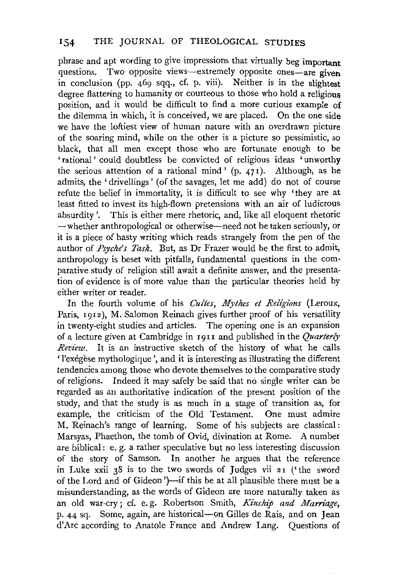phrase and apt wording to give impressions that virtually beg important questions. Two opposite views-extremely opposite ones-are given in conclusion (pp. 469 sqq., cf. p. viii). Neither is in the slightest degree flattering to humanity or courteous to those who hold a religious position, and it would be difficult to find a more curious example of the dilemma in which, it is conceived, we are placed. On the one side we have the loftiest view of human nature with an overdrawn picture of the soaring mind, while on the other is a picture so pessimistic, so black, that all men except those who are fortunate enough to be 'rational' could doubtless be convicted of religious ideas 'unworthy the serious attention of a rational mind ' (p.  $471$ ). Although, as he admits, the 'drivellings' (of the savages, let me add) do not of course refute the belief in immortality, it is difficult to see why 'they are at least fitted to invest its high-flown pretensions with an air of ludicrous absurdity '. This is either mere rhetoric, and, like all eloquent rhetoric -whether anthropological or otherwise-need not be taken seriously, or it is a piece of hasty writing which reads strangely from the pen of the author of *Psyche's Task.* But, as Dr Frazer would be the first to admit, anthropology is beset with pitfalls, fundamental questions in the comparative study of religion still await a definite answer, and the presentation of evidence is of more value than the particular theories held by either writer or reader.

In the fourth volume of his *Cultes, Mythes et Religions* (Leroux, Paris, 1912), M. Salomon Reinach gives further proof of his versatility in twenty-eight studies and articles. The opening one is an expansion of a lecture given at Cambridge in 1911 and published in the *Quarterly Review.* It is an instructive sketch of the history of what he calls 'l'exégèse mythologique', and it is interesting as illustrating the different tendencies among those who devote themselves to the comparative study of religions. Indeed it may safely be said that no single writer can be regarded as an authoritative indication of the present position of the study, and that the study is as much in a stage of transition as, for example, the criticism of the Old Testament. One must admire M. Reinach's range of learning. Some of his subjects are classical : Marsyas, Phaethon, the tomb of Ovid, divination at Rome. A number are biblical : e. g. a rather speculative but no less interesting discussion of the story of Samson. In another he argues that the reference in Luke xxii 38 is to the two swords of Judges vii 21 ('the sword of the Lord and of Gideon')—if this be at all plausible there must be a misunderstanding, as the words of Gideon are more naturally taken as an old war-cry; cf. e. g. Robertson Smith, *Kinship and Marriage,*  p. 44 sq. Some, again, are historical-on Gilles de Rais, and on Jean d' Arc according to Anatole France and Andrew Lang. Questions of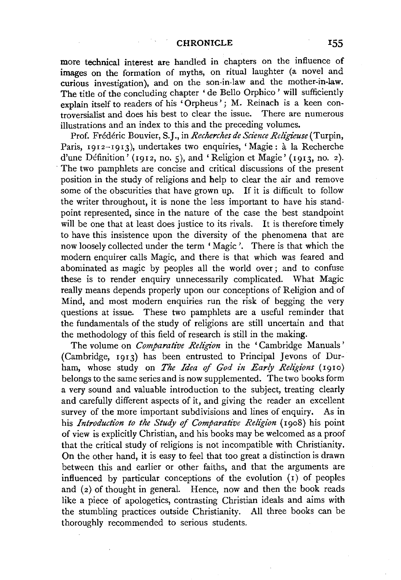more technical interest are handled in chapters on the influence of images on the formation of myths, on ritual laughter (a novel and curious investigation), and on the son-in-law and the mother-in-law. The title of the concluding chapter ' de Bello Orphico' will sufficiently explain itself to readers of his 'Orpheus'; M. Reinach is a keen controversialist and does his best to clear the issue. There are numerous illustrations and an index to this and the preceding volumes.

Prof. Frederic Bouvier, S.J ., in *Recherches de Science Religieuse* (Turpin, Paris, 1912-1913), undertakes two enquiries, 'Magie: à la Recherche d'une Definition' (1912, no. 5), and' Religion et Magie' (1913, no. 2). The two pamphlets are concise and critical discussions of the present position in the study of religions and help to clear the air and remove some of the obscurities that have grown up. If it is difficult to follow the writer throughout, it is none the less important to have his standpoint represented, since in the nature of the case the best standpoint will be one that at least does justice to its rivals. It is therefore timely to have this insistence upon the diversity of the phenomena that are now loosely collected under the term 'Magic'. There is that which the modern enquirer calls Magic, and there is that which was feared and abominated as magic by peoples all the world over ; and to confuse these is to render enquiry unnecessarily complicated. What Magic really means depends properly upon our conceptions of Religion and of Mind, and most modern enquiries run the risk of begging the very questions at issue. These two pamphlets are a useful reminder that the fundamentals of the study of religions are still uncertain and that the methodology of this field of research is still in the making.

The volume on *Comparative Religion* in the 'Cambridge Manuals' (Cambridge, 1913) has been entrusted to Principal Jevons of Durham, whose study on *The Idea* of *God in Early Religions* (1910) belongs to the same series and is now supplemented. The two books form a very sound and valuable introduction to the subject, treating clearly and carefully different aspects of it, and giving the reader an excellent survey of the more important subdivisions and lines of enquiry. As in his *Introduction to the Study of Comparative Religion* (1908) his point of view is explicitly Christian, and his books may be welcomed as a proof that the critical study of religions is not incompatible with Christianity. On the other hand, it is easy to feel that too great a distinction is drawn between this and earlier or other faiths, and that the arguments are influenced by particular conceptions of the evolution  $(1)$  of peoples and  $(z)$  of thought in general. Hence, now and then the book reads like a piece of apologetics, contrasting Christian ideals and aims with the stumbling practices outside Christianity. All three books can be thoroughly recommended to serious students.